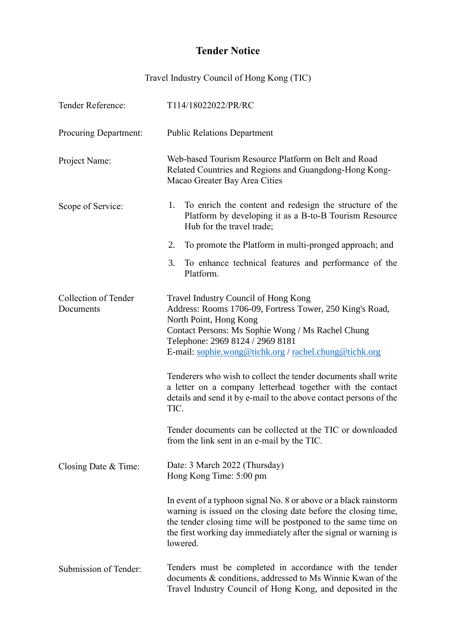## **Tender Notice**

Travel Industry Council of Hong Kong (TIC)

| Tender Reference:                 | T114/18022022/PR/RC                                                                                                                                                                                                                                                                                                                                                                                                                                                                                                                                      |
|-----------------------------------|----------------------------------------------------------------------------------------------------------------------------------------------------------------------------------------------------------------------------------------------------------------------------------------------------------------------------------------------------------------------------------------------------------------------------------------------------------------------------------------------------------------------------------------------------------|
| <b>Procuring Department:</b>      | <b>Public Relations Department</b>                                                                                                                                                                                                                                                                                                                                                                                                                                                                                                                       |
| Project Name:                     | Web-based Tourism Resource Platform on Belt and Road<br>Related Countries and Regions and Guangdong-Hong Kong-<br>Macao Greater Bay Area Cities                                                                                                                                                                                                                                                                                                                                                                                                          |
| Scope of Service:                 | To enrich the content and redesign the structure of the<br>1.<br>Platform by developing it as a B-to-B Tourism Resource<br>Hub for the travel trade;                                                                                                                                                                                                                                                                                                                                                                                                     |
|                                   | To promote the Platform in multi-pronged approach; and<br>2.                                                                                                                                                                                                                                                                                                                                                                                                                                                                                             |
|                                   | To enhance technical features and performance of the<br>3.<br>Platform.                                                                                                                                                                                                                                                                                                                                                                                                                                                                                  |
| Collection of Tender<br>Documents | Travel Industry Council of Hong Kong<br>Address: Rooms 1706-09, Fortress Tower, 250 King's Road,<br>North Point, Hong Kong<br>Contact Persons: Ms Sophie Wong / Ms Rachel Chung<br>Telephone: 2969 8124 / 2969 8181<br>E-mail: sophie.wong@tichk.org / rachel.chung@tichk.org<br>Tenderers who wish to collect the tender documents shall write<br>a letter on a company letterhead together with the contact<br>details and send it by e-mail to the above contact persons of the<br>TIC.<br>Tender documents can be collected at the TIC or downloaded |
|                                   | from the link sent in an e-mail by the TIC.                                                                                                                                                                                                                                                                                                                                                                                                                                                                                                              |
| Closing Date & Time:              | Date: 3 March 2022 (Thursday)<br>Hong Kong Time: 5:00 pm                                                                                                                                                                                                                                                                                                                                                                                                                                                                                                 |
|                                   | In event of a typhoon signal No. 8 or above or a black rainstorm<br>warning is issued on the closing date before the closing time,<br>the tender closing time will be postponed to the same time on<br>the first working day immediately after the signal or warning is<br>lowered.                                                                                                                                                                                                                                                                      |
| Submission of Tender:             | Tenders must be completed in accordance with the tender<br>documents & conditions, addressed to Ms Winnie Kwan of the<br>Travel Industry Council of Hong Kong, and deposited in the                                                                                                                                                                                                                                                                                                                                                                      |